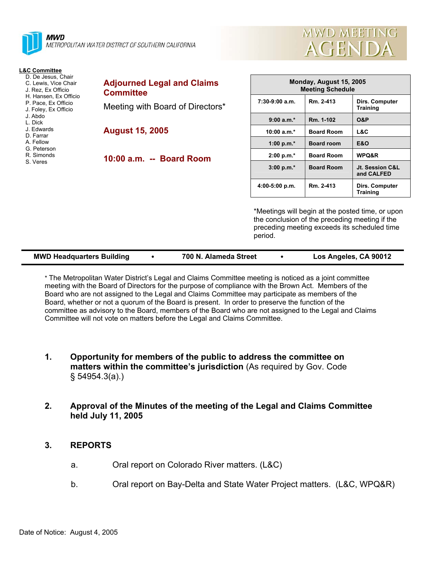



#### **L&C Committee**

- D. De Jesus, Chair
- C. Lewis, Vice Chair J. Rez, Ex Officio
- H. Hansen, Ex Officio
- P. Pace, Ex Officio
- J. Foley, Ex Officio
- J. Abdo
- L. Dick
- J. Edwards D. Farrar
- A. Fellow
- G. Peterson
- R. Simonds
- S. Veres

| <b>Adjourned Legal and Claims</b><br><b>Committee</b> |
|-------------------------------------------------------|
| Meeting with Board of Directors*                      |

**August 15, 2005** 

**10:00 a.m. -- Board Room** 

| Monday, August 15, 2005<br><b>Meeting Schedule</b> |                   |                                   |  |  |
|----------------------------------------------------|-------------------|-----------------------------------|--|--|
| $7:30-9:00$ a.m.                                   | Rm. 2-413         | Dirs. Computer<br><b>Training</b> |  |  |
| $9:00 a.m.*$                                       | Rm. 1-102         | <b>O&amp;P</b>                    |  |  |
| 10:00 $a.m.*$                                      | <b>Board Room</b> | L&C                               |  |  |
| 1:00 p.m. $*$                                      | <b>Board room</b> | E&O                               |  |  |
| $2:00 p.m.*$                                       | <b>Board Room</b> | <b>WPQ&amp;R</b>                  |  |  |
| $3:00 p.m.*$                                       | <b>Board Room</b> | Jt. Session C&L<br>and CALFED     |  |  |
| $4:00-5:00 p.m.$                                   | Rm. 2-413         | Dirs. Computer<br><b>Training</b> |  |  |

\*Meetings will begin at the posted time, or upon the conclusion of the preceding meeting if the preceding meeting exceeds its scheduled time period.

| <b>MWD Headquarters Building</b> |  | 700 N. Alameda Street |  | Los Angeles, CA 90012 |
|----------------------------------|--|-----------------------|--|-----------------------|
|----------------------------------|--|-----------------------|--|-----------------------|

\* The Metropolitan Water District's Legal and Claims Committee meeting is noticed as a joint committee meeting with the Board of Directors for the purpose of compliance with the Brown Act. Members of the Board who are not assigned to the Legal and Claims Committee may participate as members of the Board, whether or not a quorum of the Board is present. In order to preserve the function of the committee as advisory to the Board, members of the Board who are not assigned to the Legal and Claims Committee will not vote on matters before the Legal and Claims Committee.

- **1. Opportunity for members of the public to address the committee on matters within the committee's jurisdiction** (As required by Gov. Code § 54954.3(a).)
- **2. Approval of the Minutes of the meeting of the Legal and Claims Committee held July 11, 2005**
- **3. REPORTS** 
	- a. Oral report on Colorado River matters. (L&C)
	- b. Oral report on Bay-Delta and State Water Project matters. (L&C, WPQ&R)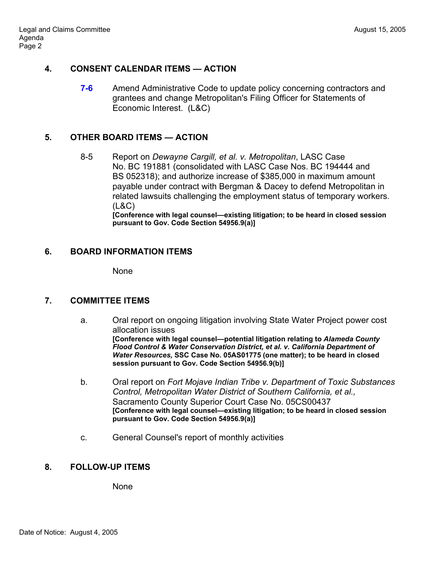## **4. CONSENT CALENDAR ITEMS — ACTION**

**7-6** • Amend Administrative Code to update policy concerning contractors and grantees and change Metropolitan's Filing Officer for Statements of Economic Interest. (L&C)

# **5. OTHER BOARD ITEMS — ACTION**

8-5 Report on *Dewayne Cargill, et al. v. Metropolitan*, LASC Case No. BC 191881 (consolidated with LASC Case Nos. BC 194444 and BS 052318); and authorize increase of \$385,000 in maximum amount payable under contract with Bergman & Dacey to defend Metropolitan in related lawsuits challenging the employment status of temporary workers. (L&C)

**[Conference with legal counsel—existing litigation; to be heard in closed session pursuant to Gov. Code Section 54956.9(a)]**

# **6. BOARD INFORMATION ITEMS**

None

## **7. COMMITTEE ITEMS**

- a. Oral report on ongoing litigation involving State Water Project power cost allocation issues **[Conference with legal counsel—potential litigation relating to** *Alameda County Flood Control & Water Conservation District, et al. v. California Department of Water Resources,* **SSC Case No. 05AS01775 (one matter); to be heard in closed session pursuant to Gov. Code Section 54956.9(b)]**
- b. Oral report on *Fort Mojave Indian Tribe v. Department of Toxic Substances Control, Metropolitan Water District of Southern California, et al.,* Sacramento County Superior Court Case No. 05CS00437 **[Conference with legal counsel—existing litigation; to be heard in closed session pursuant to Gov. Code Section 54956.9(a)]**
- c. General Counsel's report of monthly activities

## **8. FOLLOW-UP ITEMS**

None